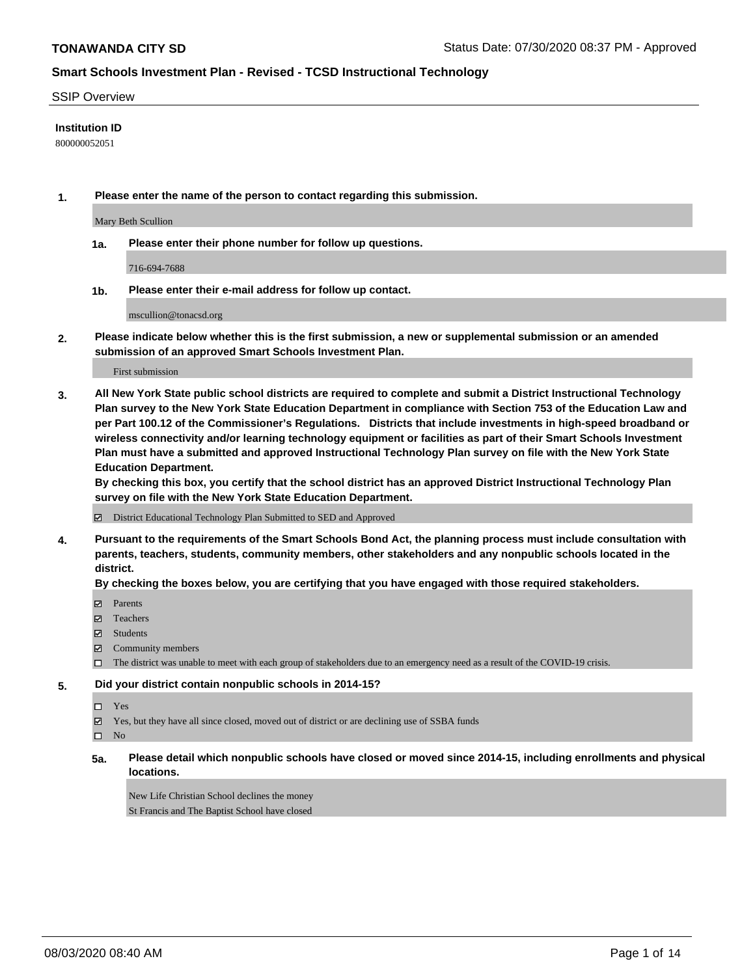#### SSIP Overview

### **Institution ID**

800000052051

**1. Please enter the name of the person to contact regarding this submission.**

Mary Beth Scullion

**1a. Please enter their phone number for follow up questions.**

716-694-7688

**1b. Please enter their e-mail address for follow up contact.**

mscullion@tonacsd.org

**2. Please indicate below whether this is the first submission, a new or supplemental submission or an amended submission of an approved Smart Schools Investment Plan.**

#### First submission

**3. All New York State public school districts are required to complete and submit a District Instructional Technology Plan survey to the New York State Education Department in compliance with Section 753 of the Education Law and per Part 100.12 of the Commissioner's Regulations. Districts that include investments in high-speed broadband or wireless connectivity and/or learning technology equipment or facilities as part of their Smart Schools Investment Plan must have a submitted and approved Instructional Technology Plan survey on file with the New York State Education Department.** 

**By checking this box, you certify that the school district has an approved District Instructional Technology Plan survey on file with the New York State Education Department.**

District Educational Technology Plan Submitted to SED and Approved

**4. Pursuant to the requirements of the Smart Schools Bond Act, the planning process must include consultation with parents, teachers, students, community members, other stakeholders and any nonpublic schools located in the district.** 

### **By checking the boxes below, you are certifying that you have engaged with those required stakeholders.**

- **Parents**
- Teachers
- Students
- $\boxtimes$  Community members
- The district was unable to meet with each group of stakeholders due to an emergency need as a result of the COVID-19 crisis.

#### **5. Did your district contain nonpublic schools in 2014-15?**

- Yes
- Yes, but they have all since closed, moved out of district or are declining use of SSBA funds

 $\square$  No

**5a. Please detail which nonpublic schools have closed or moved since 2014-15, including enrollments and physical locations.**

New Life Christian School declines the money St Francis and The Baptist School have closed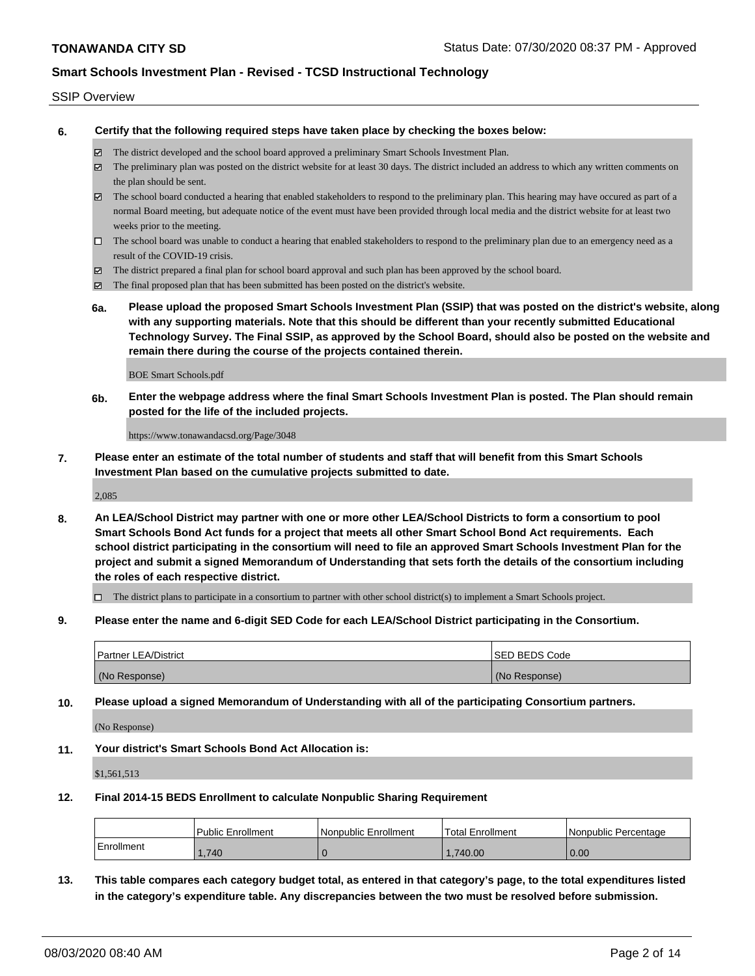#### SSIP Overview

**6. Certify that the following required steps have taken place by checking the boxes below:**

- The district developed and the school board approved a preliminary Smart Schools Investment Plan.
- The preliminary plan was posted on the district website for at least 30 days. The district included an address to which any written comments on the plan should be sent.
- $\boxtimes$  The school board conducted a hearing that enabled stakeholders to respond to the preliminary plan. This hearing may have occured as part of a normal Board meeting, but adequate notice of the event must have been provided through local media and the district website for at least two weeks prior to the meeting.
- $\Box$  The school board was unable to conduct a hearing that enabled stakeholders to respond to the preliminary plan due to an emergency need as a result of the COVID-19 crisis.
- The district prepared a final plan for school board approval and such plan has been approved by the school board.
- $\boxtimes$  The final proposed plan that has been submitted has been posted on the district's website.
- **6a. Please upload the proposed Smart Schools Investment Plan (SSIP) that was posted on the district's website, along with any supporting materials. Note that this should be different than your recently submitted Educational Technology Survey. The Final SSIP, as approved by the School Board, should also be posted on the website and remain there during the course of the projects contained therein.**

BOE Smart Schools.pdf

**6b. Enter the webpage address where the final Smart Schools Investment Plan is posted. The Plan should remain posted for the life of the included projects.**

https://www.tonawandacsd.org/Page/3048

**7. Please enter an estimate of the total number of students and staff that will benefit from this Smart Schools Investment Plan based on the cumulative projects submitted to date.**

2,085

**8. An LEA/School District may partner with one or more other LEA/School Districts to form a consortium to pool Smart Schools Bond Act funds for a project that meets all other Smart School Bond Act requirements. Each school district participating in the consortium will need to file an approved Smart Schools Investment Plan for the project and submit a signed Memorandum of Understanding that sets forth the details of the consortium including the roles of each respective district.**

 $\Box$  The district plans to participate in a consortium to partner with other school district(s) to implement a Smart Schools project.

**9. Please enter the name and 6-digit SED Code for each LEA/School District participating in the Consortium.**

| <b>Partner LEA/District</b> | <b>ISED BEDS Code</b> |
|-----------------------------|-----------------------|
| (No Response)               | (No Response)         |

**10. Please upload a signed Memorandum of Understanding with all of the participating Consortium partners.**

(No Response)

**11. Your district's Smart Schools Bond Act Allocation is:**

\$1,561,513

#### **12. Final 2014-15 BEDS Enrollment to calculate Nonpublic Sharing Requirement**

|                   | <b>Public Enrollment</b> | Nonpublic Enrollment | <b>Total Enrollment</b> | l Nonpublic Percentage |
|-------------------|--------------------------|----------------------|-------------------------|------------------------|
| <b>Enrollment</b> | .740                     |                      | .740.00                 | 0.00                   |

**13. This table compares each category budget total, as entered in that category's page, to the total expenditures listed in the category's expenditure table. Any discrepancies between the two must be resolved before submission.**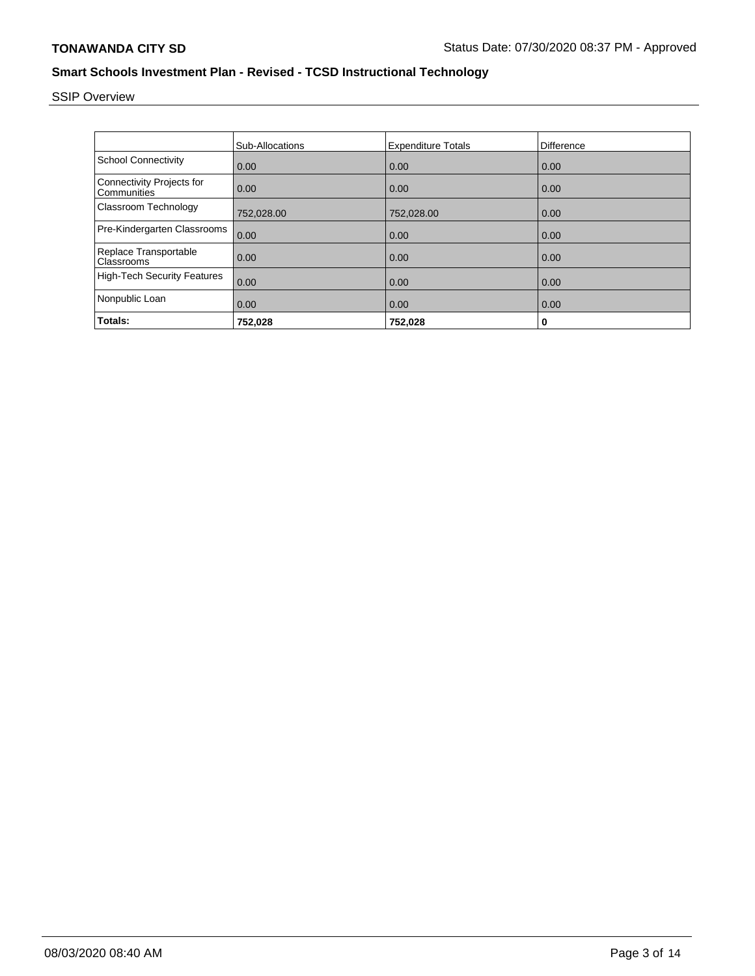# SSIP Overview

|                                                 | <b>Sub-Allocations</b> | <b>Expenditure Totals</b> | Difference |
|-------------------------------------------------|------------------------|---------------------------|------------|
| <b>School Connectivity</b>                      | 0.00                   | 0.00                      | 0.00       |
| <b>Connectivity Projects for</b><br>Communities | 0.00                   | 0.00                      | 0.00       |
| Classroom Technology                            | 752,028.00             | 752,028.00                | 0.00       |
| Pre-Kindergarten Classrooms                     | 0.00                   | 0.00                      | 0.00       |
| Replace Transportable<br>Classrooms             | 0.00                   | 0.00                      | 0.00       |
| <b>High-Tech Security Features</b>              | 0.00                   | 0.00                      | 0.00       |
| Nonpublic Loan                                  | 0.00                   | 0.00                      | 0.00       |
| Totals:                                         | 752,028                | 752,028                   | 0          |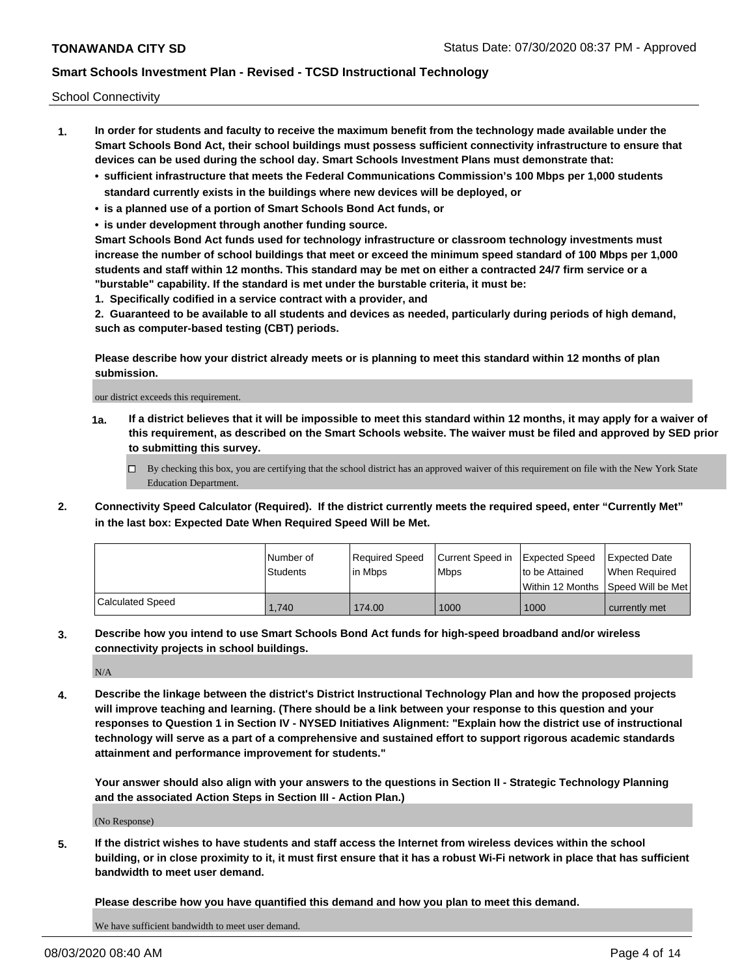School Connectivity

- **1. In order for students and faculty to receive the maximum benefit from the technology made available under the Smart Schools Bond Act, their school buildings must possess sufficient connectivity infrastructure to ensure that devices can be used during the school day. Smart Schools Investment Plans must demonstrate that:**
	- **• sufficient infrastructure that meets the Federal Communications Commission's 100 Mbps per 1,000 students standard currently exists in the buildings where new devices will be deployed, or**
	- **• is a planned use of a portion of Smart Schools Bond Act funds, or**
	- **• is under development through another funding source.**

**Smart Schools Bond Act funds used for technology infrastructure or classroom technology investments must increase the number of school buildings that meet or exceed the minimum speed standard of 100 Mbps per 1,000 students and staff within 12 months. This standard may be met on either a contracted 24/7 firm service or a "burstable" capability. If the standard is met under the burstable criteria, it must be:**

**1. Specifically codified in a service contract with a provider, and**

**2. Guaranteed to be available to all students and devices as needed, particularly during periods of high demand, such as computer-based testing (CBT) periods.**

**Please describe how your district already meets or is planning to meet this standard within 12 months of plan submission.**

our district exceeds this requirement.

**1a. If a district believes that it will be impossible to meet this standard within 12 months, it may apply for a waiver of this requirement, as described on the Smart Schools website. The waiver must be filed and approved by SED prior to submitting this survey.**

 $\Box$  By checking this box, you are certifying that the school district has an approved waiver of this requirement on file with the New York State Education Department.

**2. Connectivity Speed Calculator (Required). If the district currently meets the required speed, enter "Currently Met" in the last box: Expected Date When Required Speed Will be Met.**

|                  | l Number of     | Required Speed | Current Speed in | Expected Speed | Expected Date                           |
|------------------|-----------------|----------------|------------------|----------------|-----------------------------------------|
|                  | <b>Students</b> | In Mbps        | <b>Mbps</b>      | to be Attained | When Required                           |
|                  |                 |                |                  |                | l Within 12 Months ISpeed Will be Met l |
| Calculated Speed | 1.740           | 174.00         | 1000             | 1000           | l currently met                         |

**3. Describe how you intend to use Smart Schools Bond Act funds for high-speed broadband and/or wireless connectivity projects in school buildings.**

N/A

**4. Describe the linkage between the district's District Instructional Technology Plan and how the proposed projects will improve teaching and learning. (There should be a link between your response to this question and your responses to Question 1 in Section IV - NYSED Initiatives Alignment: "Explain how the district use of instructional technology will serve as a part of a comprehensive and sustained effort to support rigorous academic standards attainment and performance improvement for students."** 

**Your answer should also align with your answers to the questions in Section II - Strategic Technology Planning and the associated Action Steps in Section III - Action Plan.)**

(No Response)

**5. If the district wishes to have students and staff access the Internet from wireless devices within the school building, or in close proximity to it, it must first ensure that it has a robust Wi-Fi network in place that has sufficient bandwidth to meet user demand.**

**Please describe how you have quantified this demand and how you plan to meet this demand.**

We have sufficient bandwidth to meet user demand.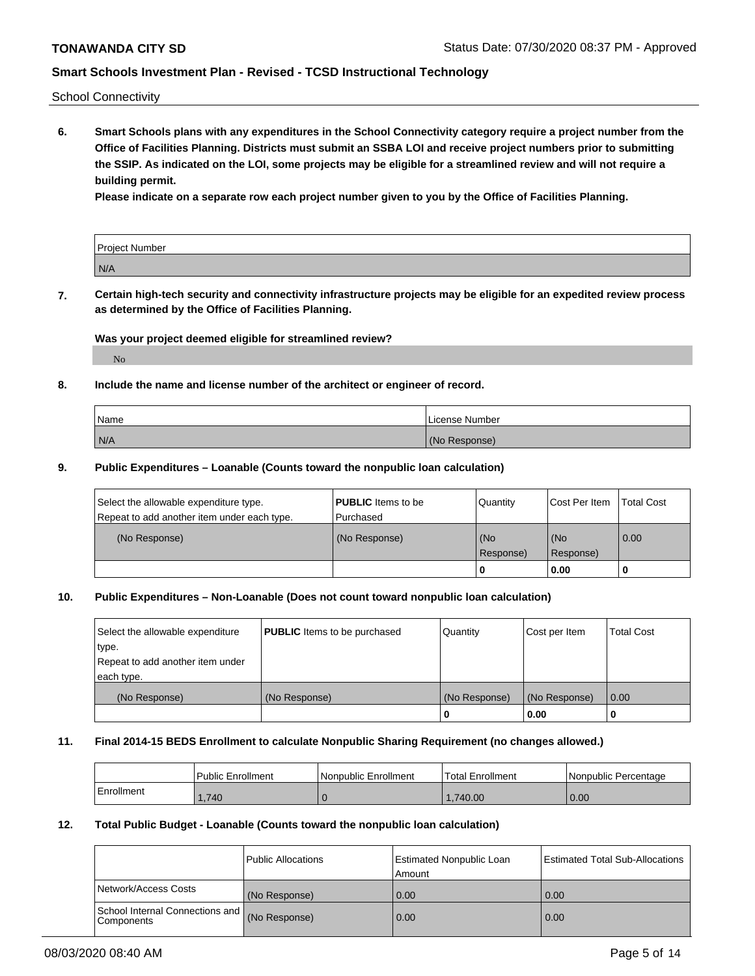School Connectivity

**6. Smart Schools plans with any expenditures in the School Connectivity category require a project number from the Office of Facilities Planning. Districts must submit an SSBA LOI and receive project numbers prior to submitting the SSIP. As indicated on the LOI, some projects may be eligible for a streamlined review and will not require a building permit.**

**Please indicate on a separate row each project number given to you by the Office of Facilities Planning.**

| Project Number |  |
|----------------|--|
| N/A            |  |

**7. Certain high-tech security and connectivity infrastructure projects may be eligible for an expedited review process as determined by the Office of Facilities Planning.**

## **Was your project deemed eligible for streamlined review?**

No

## **8. Include the name and license number of the architect or engineer of record.**

| Name | License Number |
|------|----------------|
| N/A  | (No Response)  |

### **9. Public Expenditures – Loanable (Counts toward the nonpublic loan calculation)**

| Select the allowable expenditure type.<br>Repeat to add another item under each type. | <b>PUBLIC</b> Items to be<br>l Purchased | <b>Quantity</b>  | Cost Per Item    | <b>Total Cost</b> |
|---------------------------------------------------------------------------------------|------------------------------------------|------------------|------------------|-------------------|
| (No Response)                                                                         | (No Response)                            | (No<br>Response) | (No<br>Response) | $\overline{0.00}$ |
|                                                                                       |                                          | 0                | 0.00             |                   |

## **10. Public Expenditures – Non-Loanable (Does not count toward nonpublic loan calculation)**

| Select the allowable expenditure<br>type.<br>Repeat to add another item under<br>each type. | <b>PUBLIC</b> Items to be purchased | Quantity      | Cost per Item | <b>Total Cost</b> |
|---------------------------------------------------------------------------------------------|-------------------------------------|---------------|---------------|-------------------|
| (No Response)                                                                               | (No Response)                       | (No Response) | (No Response) | 0.00              |
|                                                                                             |                                     |               | 0.00          |                   |

#### **11. Final 2014-15 BEDS Enrollment to calculate Nonpublic Sharing Requirement (no changes allowed.)**

|            | Public Enrollment | Nonpublic Enrollment | 'Total Enrollment | l Nonpublic Percentage |
|------------|-------------------|----------------------|-------------------|------------------------|
| Enrollment | .740              |                      | .740.00           | 0.00                   |

#### **12. Total Public Budget - Loanable (Counts toward the nonpublic loan calculation)**

|                                               | Public Allocations | <b>Estimated Nonpublic Loan</b><br>Amount | Estimated Total Sub-Allocations |
|-----------------------------------------------|--------------------|-------------------------------------------|---------------------------------|
| Network/Access Costs                          | (No Response)      | 0.00                                      | 0.00                            |
| School Internal Connections and<br>Components | (No Response)      | 0.00                                      | 0.00                            |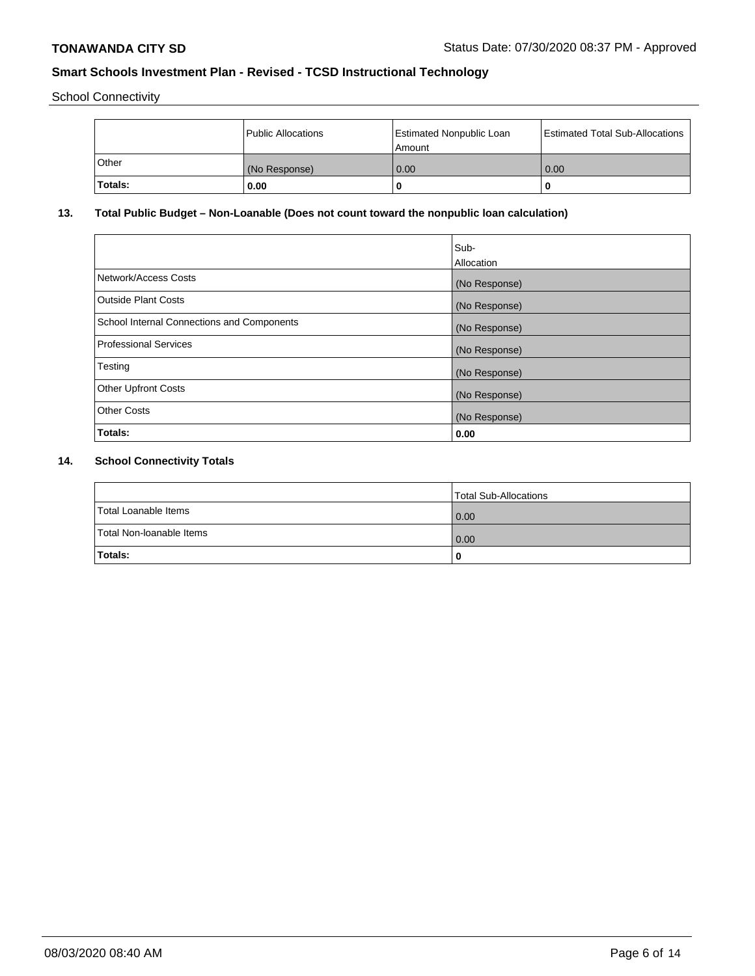School Connectivity

|         | Public Allocations | <b>Estimated Nonpublic Loan</b><br>l Amount | <b>Estimated Total Sub-Allocations</b> |
|---------|--------------------|---------------------------------------------|----------------------------------------|
| l Other | (No Response)      | 0.00                                        | 0.00                                   |
| Totals: | 0.00               | 0                                           |                                        |

# **13. Total Public Budget – Non-Loanable (Does not count toward the nonpublic loan calculation)**

|                                                   | Sub-<br>Allocation |
|---------------------------------------------------|--------------------|
| Network/Access Costs                              | (No Response)      |
| <b>Outside Plant Costs</b>                        | (No Response)      |
| <b>School Internal Connections and Components</b> | (No Response)      |
| Professional Services                             | (No Response)      |
| Testing                                           | (No Response)      |
| <b>Other Upfront Costs</b>                        | (No Response)      |
| <b>Other Costs</b>                                | (No Response)      |
| <b>Totals:</b>                                    | 0.00               |

# **14. School Connectivity Totals**

|                          | Total Sub-Allocations |
|--------------------------|-----------------------|
| Total Loanable Items     | 0.00                  |
| Total Non-Ioanable Items | 0.00                  |
| Totals:                  | 0                     |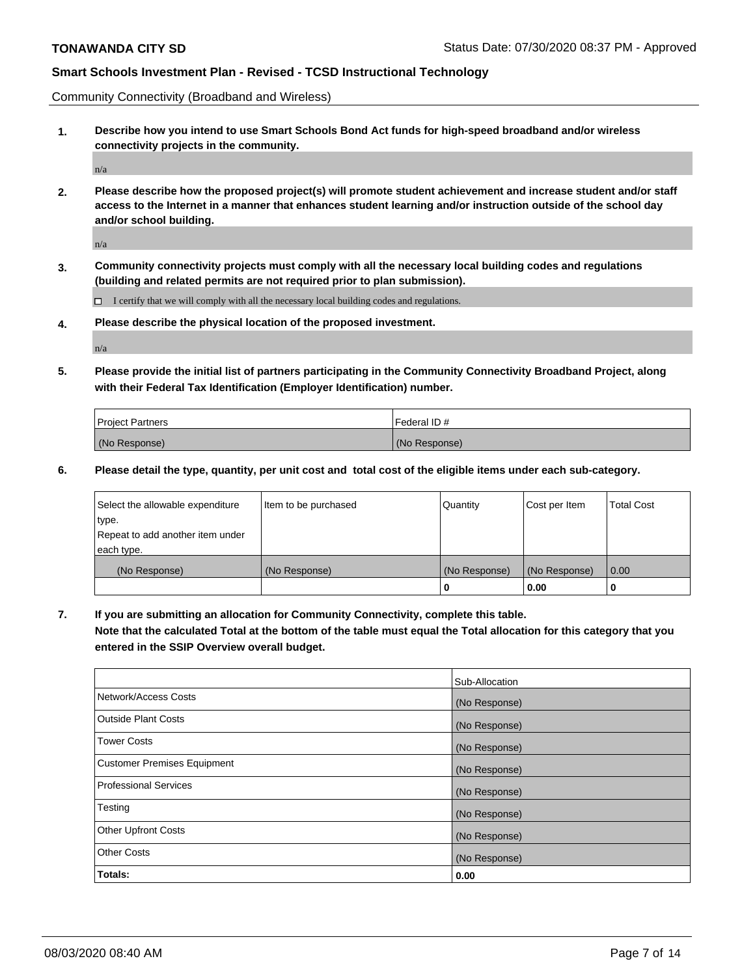Community Connectivity (Broadband and Wireless)

**1. Describe how you intend to use Smart Schools Bond Act funds for high-speed broadband and/or wireless connectivity projects in the community.**

n/a

**2. Please describe how the proposed project(s) will promote student achievement and increase student and/or staff access to the Internet in a manner that enhances student learning and/or instruction outside of the school day and/or school building.**

n/a

**3. Community connectivity projects must comply with all the necessary local building codes and regulations (building and related permits are not required prior to plan submission).**

 $\Box$  I certify that we will comply with all the necessary local building codes and regulations.

**4. Please describe the physical location of the proposed investment.**

n/a

**5. Please provide the initial list of partners participating in the Community Connectivity Broadband Project, along with their Federal Tax Identification (Employer Identification) number.**

| <b>Project Partners</b> | l Federal ID # |
|-------------------------|----------------|
| (No Response)           | (No Response)  |

**6. Please detail the type, quantity, per unit cost and total cost of the eligible items under each sub-category.**

| Select the allowable expenditure | Item to be purchased | Quantity      | Cost per Item | <b>Total Cost</b> |
|----------------------------------|----------------------|---------------|---------------|-------------------|
| type.                            |                      |               |               |                   |
| Repeat to add another item under |                      |               |               |                   |
| each type.                       |                      |               |               |                   |
| (No Response)                    | (No Response)        | (No Response) | (No Response) | 0.00              |
|                                  |                      | o             | 0.00          |                   |

**7. If you are submitting an allocation for Community Connectivity, complete this table.**

**Note that the calculated Total at the bottom of the table must equal the Total allocation for this category that you entered in the SSIP Overview overall budget.**

|                                    | Sub-Allocation |
|------------------------------------|----------------|
| Network/Access Costs               | (No Response)  |
| Outside Plant Costs                | (No Response)  |
| <b>Tower Costs</b>                 | (No Response)  |
| <b>Customer Premises Equipment</b> | (No Response)  |
| <b>Professional Services</b>       | (No Response)  |
| Testing                            | (No Response)  |
| <b>Other Upfront Costs</b>         | (No Response)  |
| <b>Other Costs</b>                 | (No Response)  |
| Totals:                            | 0.00           |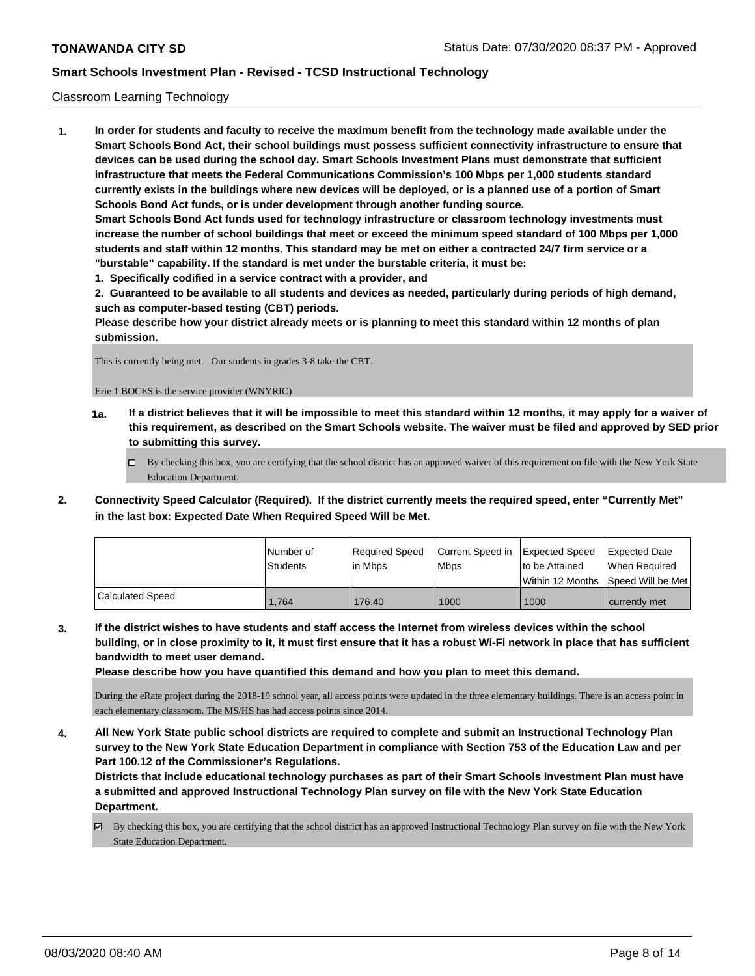### Classroom Learning Technology

**1. In order for students and faculty to receive the maximum benefit from the technology made available under the Smart Schools Bond Act, their school buildings must possess sufficient connectivity infrastructure to ensure that devices can be used during the school day. Smart Schools Investment Plans must demonstrate that sufficient infrastructure that meets the Federal Communications Commission's 100 Mbps per 1,000 students standard currently exists in the buildings where new devices will be deployed, or is a planned use of a portion of Smart Schools Bond Act funds, or is under development through another funding source. Smart Schools Bond Act funds used for technology infrastructure or classroom technology investments must increase the number of school buildings that meet or exceed the minimum speed standard of 100 Mbps per 1,000 students and staff within 12 months. This standard may be met on either a contracted 24/7 firm service or a "burstable" capability. If the standard is met under the burstable criteria, it must be:**

**1. Specifically codified in a service contract with a provider, and**

**2. Guaranteed to be available to all students and devices as needed, particularly during periods of high demand, such as computer-based testing (CBT) periods.**

**Please describe how your district already meets or is planning to meet this standard within 12 months of plan submission.**

This is currently being met. Our students in grades 3-8 take the CBT.

Erie 1 BOCES is the service provider (WNYRIC)

- **1a. If a district believes that it will be impossible to meet this standard within 12 months, it may apply for a waiver of this requirement, as described on the Smart Schools website. The waiver must be filed and approved by SED prior to submitting this survey.**
	- By checking this box, you are certifying that the school district has an approved waiver of this requirement on file with the New York State Education Department.
- **2. Connectivity Speed Calculator (Required). If the district currently meets the required speed, enter "Currently Met" in the last box: Expected Date When Required Speed Will be Met.**

|                         | I Number of     | Required Speed | Current Speed in | Expected Speed | <b>Expected Date</b>                    |
|-------------------------|-----------------|----------------|------------------|----------------|-----------------------------------------|
|                         | <b>Students</b> | lin Mbps       | <b>Mbps</b>      | to be Attained | When Required                           |
|                         |                 |                |                  |                | l Within 12 Months ISpeed Will be Met l |
| <b>Calculated Speed</b> | 1.764           | 176.40         | 1000             | 1000           | currently met                           |

**3. If the district wishes to have students and staff access the Internet from wireless devices within the school building, or in close proximity to it, it must first ensure that it has a robust Wi-Fi network in place that has sufficient bandwidth to meet user demand.**

**Please describe how you have quantified this demand and how you plan to meet this demand.**

During the eRate project during the 2018-19 school year, all access points were updated in the three elementary buildings. There is an access point in each elementary classroom. The MS/HS has had access points since 2014.

**4. All New York State public school districts are required to complete and submit an Instructional Technology Plan survey to the New York State Education Department in compliance with Section 753 of the Education Law and per Part 100.12 of the Commissioner's Regulations.**

**Districts that include educational technology purchases as part of their Smart Schools Investment Plan must have a submitted and approved Instructional Technology Plan survey on file with the New York State Education Department.**

By checking this box, you are certifying that the school district has an approved Instructional Technology Plan survey on file with the New York State Education Department.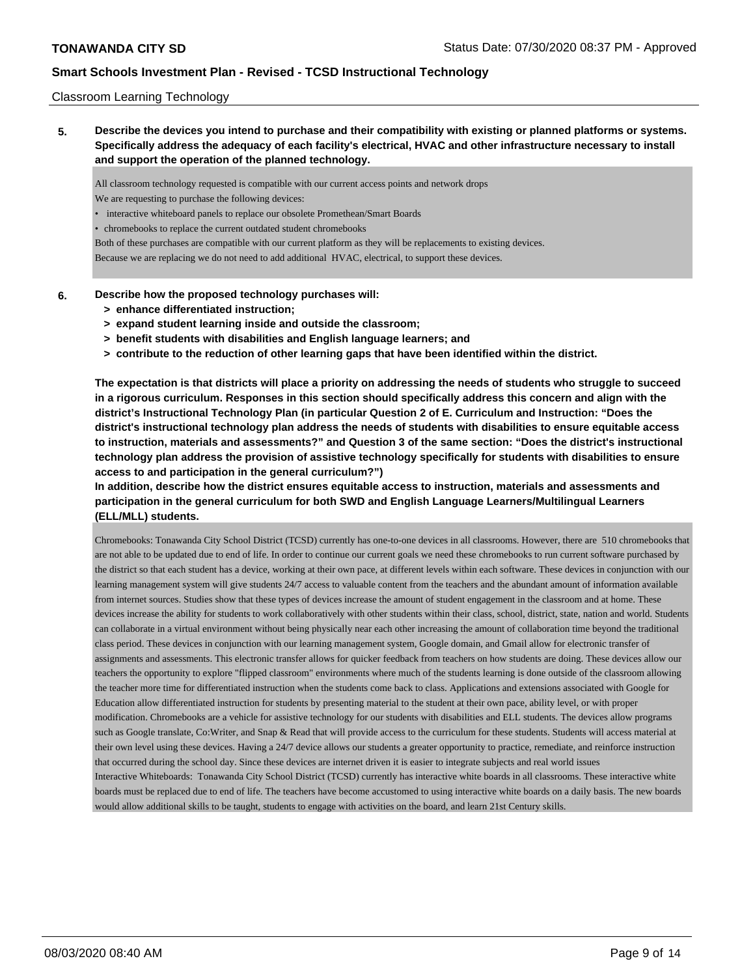### Classroom Learning Technology

**5. Describe the devices you intend to purchase and their compatibility with existing or planned platforms or systems. Specifically address the adequacy of each facility's electrical, HVAC and other infrastructure necessary to install and support the operation of the planned technology.**

All classroom technology requested is compatible with our current access points and network drops

- We are requesting to purchase the following devices:
- interactive whiteboard panels to replace our obsolete Promethean/Smart Boards
- chromebooks to replace the current outdated student chromebooks

Both of these purchases are compatible with our current platform as they will be replacements to existing devices.

Because we are replacing we do not need to add additional HVAC, electrical, to support these devices.

- **6. Describe how the proposed technology purchases will:**
	- **> enhance differentiated instruction;**
	- **> expand student learning inside and outside the classroom;**
	- **> benefit students with disabilities and English language learners; and**
	- **> contribute to the reduction of other learning gaps that have been identified within the district.**

**The expectation is that districts will place a priority on addressing the needs of students who struggle to succeed in a rigorous curriculum. Responses in this section should specifically address this concern and align with the district's Instructional Technology Plan (in particular Question 2 of E. Curriculum and Instruction: "Does the district's instructional technology plan address the needs of students with disabilities to ensure equitable access to instruction, materials and assessments?" and Question 3 of the same section: "Does the district's instructional technology plan address the provision of assistive technology specifically for students with disabilities to ensure access to and participation in the general curriculum?")**

**In addition, describe how the district ensures equitable access to instruction, materials and assessments and participation in the general curriculum for both SWD and English Language Learners/Multilingual Learners (ELL/MLL) students.**

Chromebooks: Tonawanda City School District (TCSD) currently has one-to-one devices in all classrooms. However, there are 510 chromebooks that are not able to be updated due to end of life. In order to continue our current goals we need these chromebooks to run current software purchased by the district so that each student has a device, working at their own pace, at different levels within each software. These devices in conjunction with our learning management system will give students 24/7 access to valuable content from the teachers and the abundant amount of information available from internet sources. Studies show that these types of devices increase the amount of student engagement in the classroom and at home. These devices increase the ability for students to work collaboratively with other students within their class, school, district, state, nation and world. Students can collaborate in a virtual environment without being physically near each other increasing the amount of collaboration time beyond the traditional class period. These devices in conjunction with our learning management system, Google domain, and Gmail allow for electronic transfer of assignments and assessments. This electronic transfer allows for quicker feedback from teachers on how students are doing. These devices allow our teachers the opportunity to explore "flipped classroom" environments where much of the students learning is done outside of the classroom allowing the teacher more time for differentiated instruction when the students come back to class. Applications and extensions associated with Google for Education allow differentiated instruction for students by presenting material to the student at their own pace, ability level, or with proper modification. Chromebooks are a vehicle for assistive technology for our students with disabilities and ELL students. The devices allow programs such as Google translate, Co:Writer, and Snap & Read that will provide access to the curriculum for these students. Students will access material at their own level using these devices. Having a 24/7 device allows our students a greater opportunity to practice, remediate, and reinforce instruction that occurred during the school day. Since these devices are internet driven it is easier to integrate subjects and real world issues Interactive Whiteboards: Tonawanda City School District (TCSD) currently has interactive white boards in all classrooms. These interactive white boards must be replaced due to end of life. The teachers have become accustomed to using interactive white boards on a daily basis. The new boards would allow additional skills to be taught, students to engage with activities on the board, and learn 21st Century skills.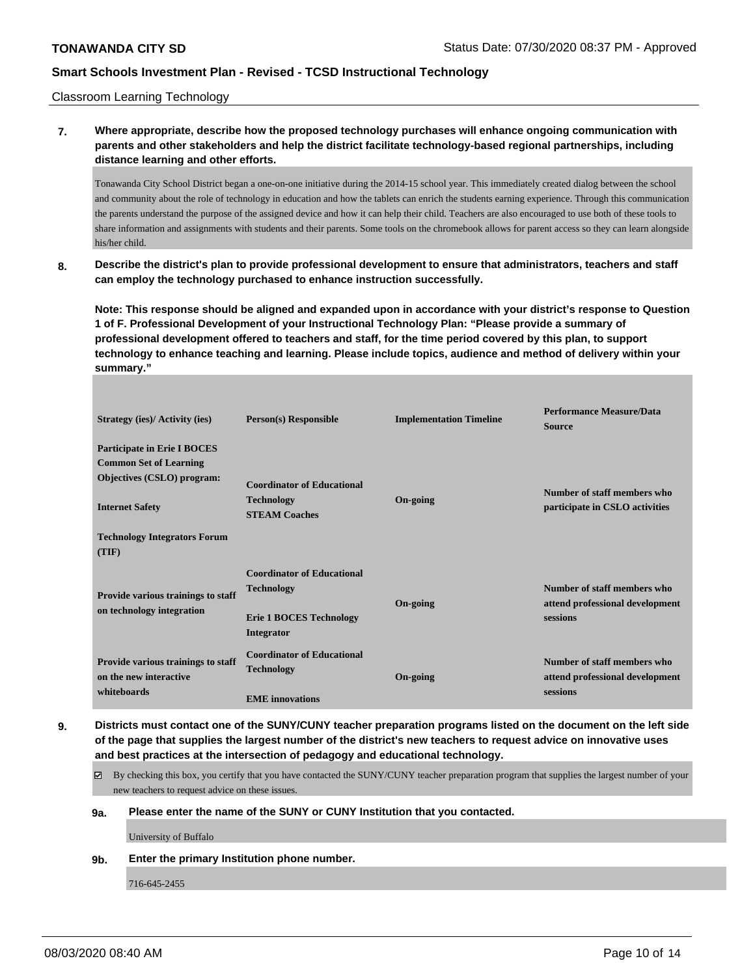Classroom Learning Technology

## **7. Where appropriate, describe how the proposed technology purchases will enhance ongoing communication with parents and other stakeholders and help the district facilitate technology-based regional partnerships, including distance learning and other efforts.**

Tonawanda City School District began a one-on-one initiative during the 2014-15 school year. This immediately created dialog between the school and community about the role of technology in education and how the tablets can enrich the students earning experience. Through this communication the parents understand the purpose of the assigned device and how it can help their child. Teachers are also encouraged to use both of these tools to share information and assignments with students and their parents. Some tools on the chromebook allows for parent access so they can learn alongside his/her child.

**8. Describe the district's plan to provide professional development to ensure that administrators, teachers and staff can employ the technology purchased to enhance instruction successfully.**

**Note: This response should be aligned and expanded upon in accordance with your district's response to Question 1 of F. Professional Development of your Instructional Technology Plan: "Please provide a summary of professional development offered to teachers and staff, for the time period covered by this plan, to support technology to enhance teaching and learning. Please include topics, audience and method of delivery within your summary."**

| <b>Strategy (ies)/ Activity (ies)</b>                                                                                                                                       | <b>Person(s)</b> Responsible                                                                           | <b>Implementation Timeline</b> | <b>Performance Measure/Data</b><br><b>Source</b>                           |
|-----------------------------------------------------------------------------------------------------------------------------------------------------------------------------|--------------------------------------------------------------------------------------------------------|--------------------------------|----------------------------------------------------------------------------|
| <b>Participate in Erie I BOCES</b><br><b>Common Set of Learning</b><br>Objectives (CSLO) program:<br><b>Internet Safety</b><br><b>Technology Integrators Forum</b><br>(TIF) | <b>Coordinator of Educational</b><br><b>Technology</b><br><b>STEAM Coaches</b>                         | On-going                       | Number of staff members who<br>participate in CSLO activities              |
| Provide various trainings to staff<br>on technology integration                                                                                                             | <b>Coordinator of Educational</b><br><b>Technology</b><br><b>Erie 1 BOCES Technology</b><br>Integrator | On-going                       | Number of staff members who<br>attend professional development<br>sessions |
| Provide various trainings to staff<br>on the new interactive<br>whiteboards                                                                                                 | <b>Coordinator of Educational</b><br><b>Technology</b><br><b>EME</b> innovations                       | On-going                       | Number of staff members who<br>attend professional development<br>sessions |

- **9. Districts must contact one of the SUNY/CUNY teacher preparation programs listed on the document on the left side of the page that supplies the largest number of the district's new teachers to request advice on innovative uses and best practices at the intersection of pedagogy and educational technology.**
	- By checking this box, you certify that you have contacted the SUNY/CUNY teacher preparation program that supplies the largest number of your new teachers to request advice on these issues.

## **9a. Please enter the name of the SUNY or CUNY Institution that you contacted.**

University of Buffalo

**9b. Enter the primary Institution phone number.**

716-645-2455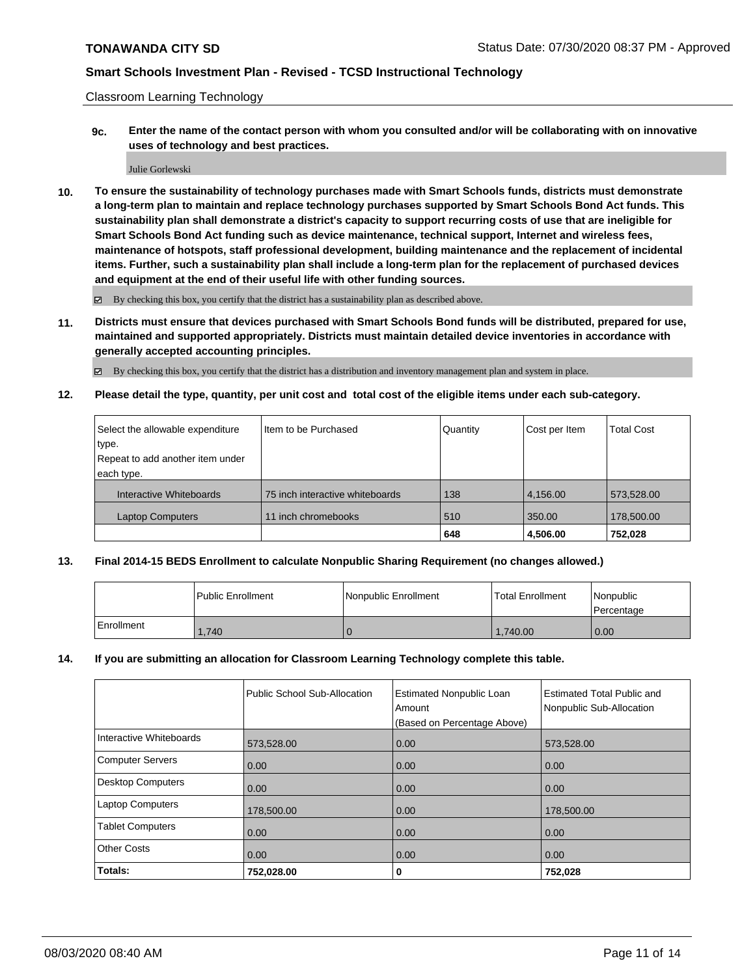Classroom Learning Technology

**9c. Enter the name of the contact person with whom you consulted and/or will be collaborating with on innovative uses of technology and best practices.**

#### Julie Gorlewski

**10. To ensure the sustainability of technology purchases made with Smart Schools funds, districts must demonstrate a long-term plan to maintain and replace technology purchases supported by Smart Schools Bond Act funds. This sustainability plan shall demonstrate a district's capacity to support recurring costs of use that are ineligible for Smart Schools Bond Act funding such as device maintenance, technical support, Internet and wireless fees, maintenance of hotspots, staff professional development, building maintenance and the replacement of incidental items. Further, such a sustainability plan shall include a long-term plan for the replacement of purchased devices and equipment at the end of their useful life with other funding sources.**

By checking this box, you certify that the district has a sustainability plan as described above.

**11. Districts must ensure that devices purchased with Smart Schools Bond funds will be distributed, prepared for use, maintained and supported appropriately. Districts must maintain detailed device inventories in accordance with generally accepted accounting principles.**

By checking this box, you certify that the district has a distribution and inventory management plan and system in place.

**12. Please detail the type, quantity, per unit cost and total cost of the eligible items under each sub-category.**

| Select the allowable expenditure | Iltem to be Purchased           | Quantity | Cost per Item | <b>Total Cost</b> |
|----------------------------------|---------------------------------|----------|---------------|-------------------|
| type.                            |                                 |          |               |                   |
| Repeat to add another item under |                                 |          |               |                   |
| each type.                       |                                 |          |               |                   |
| Interactive Whiteboards          | 75 inch interactive whiteboards | 138      | 4,156.00      | 573,528.00        |
| <b>Laptop Computers</b>          | 11 inch chromebooks             | 510      | 350.00        | 178,500.00        |
|                                  |                                 | 648      | 4,506.00      | 752.028           |

### **13. Final 2014-15 BEDS Enrollment to calculate Nonpublic Sharing Requirement (no changes allowed.)**

|            | l Public Enrollment | l Nonpublic Enrollment | <b>Total Enrollment</b> | Nonpublic<br>Percentage |
|------------|---------------------|------------------------|-------------------------|-------------------------|
| Enrollment | 1.740               | ъ                      | 1,740.00                | 0.00                    |

### **14. If you are submitting an allocation for Classroom Learning Technology complete this table.**

|                         | Public School Sub-Allocation | <b>Estimated Nonpublic Loan</b><br>Amount<br>(Based on Percentage Above) | <b>Estimated Total Public and</b><br>Nonpublic Sub-Allocation |
|-------------------------|------------------------------|--------------------------------------------------------------------------|---------------------------------------------------------------|
| Interactive Whiteboards | 573,528.00                   | 0.00                                                                     | 573,528.00                                                    |
| Computer Servers        | 0.00                         | 0.00                                                                     | 0.00                                                          |
| Desktop Computers       | 0.00                         | 0.00                                                                     | 0.00                                                          |
| <b>Laptop Computers</b> | 178,500.00                   | 0.00                                                                     | 178,500.00                                                    |
| <b>Tablet Computers</b> | 0.00                         | 0.00                                                                     | 0.00                                                          |
| <b>Other Costs</b>      | 0.00                         | 0.00                                                                     | 0.00                                                          |
| Totals:                 | 752,028.00                   | 0                                                                        | 752,028                                                       |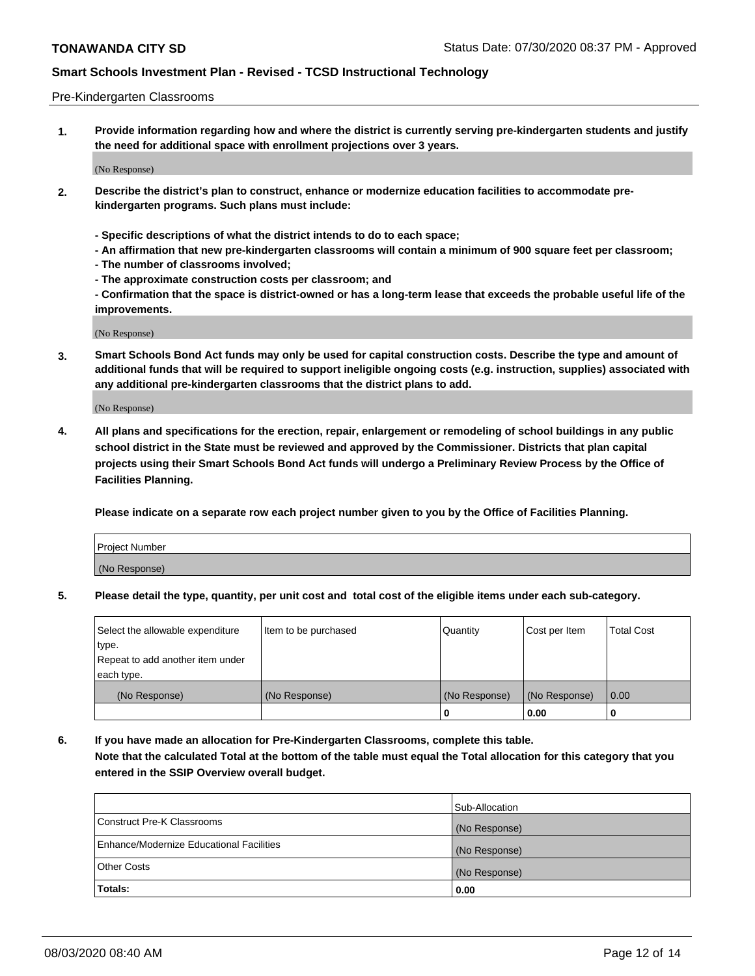### Pre-Kindergarten Classrooms

**1. Provide information regarding how and where the district is currently serving pre-kindergarten students and justify the need for additional space with enrollment projections over 3 years.**

(No Response)

- **2. Describe the district's plan to construct, enhance or modernize education facilities to accommodate prekindergarten programs. Such plans must include:**
	- **Specific descriptions of what the district intends to do to each space;**
	- **An affirmation that new pre-kindergarten classrooms will contain a minimum of 900 square feet per classroom;**
	- **The number of classrooms involved;**
	- **The approximate construction costs per classroom; and**
	- **Confirmation that the space is district-owned or has a long-term lease that exceeds the probable useful life of the improvements.**

(No Response)

**3. Smart Schools Bond Act funds may only be used for capital construction costs. Describe the type and amount of additional funds that will be required to support ineligible ongoing costs (e.g. instruction, supplies) associated with any additional pre-kindergarten classrooms that the district plans to add.**

(No Response)

**4. All plans and specifications for the erection, repair, enlargement or remodeling of school buildings in any public school district in the State must be reviewed and approved by the Commissioner. Districts that plan capital projects using their Smart Schools Bond Act funds will undergo a Preliminary Review Process by the Office of Facilities Planning.**

**Please indicate on a separate row each project number given to you by the Office of Facilities Planning.**

| Project Number |  |
|----------------|--|
| (No Response)  |  |
|                |  |

**5. Please detail the type, quantity, per unit cost and total cost of the eligible items under each sub-category.**

| Select the allowable expenditure | Item to be purchased | Quantity      | Cost per Item | <b>Total Cost</b> |
|----------------------------------|----------------------|---------------|---------------|-------------------|
| type.                            |                      |               |               |                   |
| Repeat to add another item under |                      |               |               |                   |
| each type.                       |                      |               |               |                   |
| (No Response)                    | (No Response)        | (No Response) | (No Response) | 0.00              |
|                                  |                      | U             | 0.00          |                   |

**6. If you have made an allocation for Pre-Kindergarten Classrooms, complete this table. Note that the calculated Total at the bottom of the table must equal the Total allocation for this category that you entered in the SSIP Overview overall budget.**

|                                          | Sub-Allocation |
|------------------------------------------|----------------|
| Construct Pre-K Classrooms               | (No Response)  |
| Enhance/Modernize Educational Facilities | (No Response)  |
| <b>Other Costs</b>                       | (No Response)  |
| Totals:                                  | 0.00           |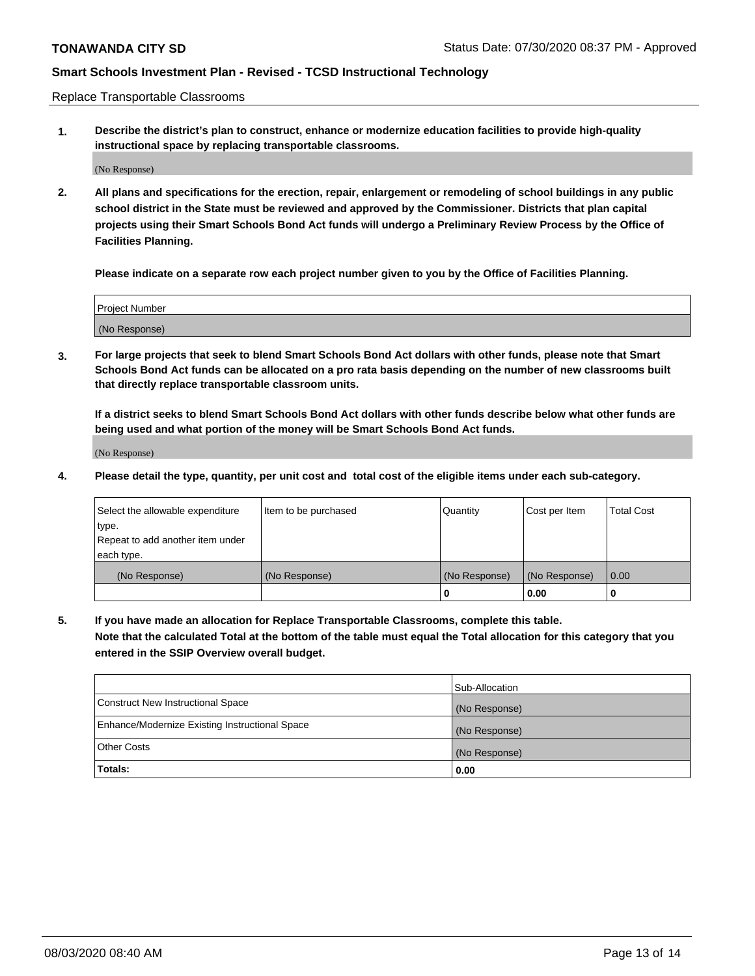Replace Transportable Classrooms

**1. Describe the district's plan to construct, enhance or modernize education facilities to provide high-quality instructional space by replacing transportable classrooms.**

(No Response)

**2. All plans and specifications for the erection, repair, enlargement or remodeling of school buildings in any public school district in the State must be reviewed and approved by the Commissioner. Districts that plan capital projects using their Smart Schools Bond Act funds will undergo a Preliminary Review Process by the Office of Facilities Planning.**

**Please indicate on a separate row each project number given to you by the Office of Facilities Planning.**

| Project Number |  |
|----------------|--|
|                |  |
|                |  |
|                |  |
|                |  |
| (No Response)  |  |
|                |  |
|                |  |
|                |  |

**3. For large projects that seek to blend Smart Schools Bond Act dollars with other funds, please note that Smart Schools Bond Act funds can be allocated on a pro rata basis depending on the number of new classrooms built that directly replace transportable classroom units.**

**If a district seeks to blend Smart Schools Bond Act dollars with other funds describe below what other funds are being used and what portion of the money will be Smart Schools Bond Act funds.**

(No Response)

**4. Please detail the type, quantity, per unit cost and total cost of the eligible items under each sub-category.**

| Select the allowable expenditure           | Item to be purchased | Quantity      | Cost per Item | <b>Total Cost</b> |
|--------------------------------------------|----------------------|---------------|---------------|-------------------|
| ∣type.<br>Repeat to add another item under |                      |               |               |                   |
| each type.                                 |                      |               |               |                   |
| (No Response)                              | (No Response)        | (No Response) | (No Response) | 0.00              |
|                                            |                      | 0             | 0.00          |                   |

**5. If you have made an allocation for Replace Transportable Classrooms, complete this table. Note that the calculated Total at the bottom of the table must equal the Total allocation for this category that you entered in the SSIP Overview overall budget.**

|                                                | Sub-Allocation |
|------------------------------------------------|----------------|
| Construct New Instructional Space              | (No Response)  |
| Enhance/Modernize Existing Instructional Space | (No Response)  |
| Other Costs                                    | (No Response)  |
| Totals:                                        | 0.00           |